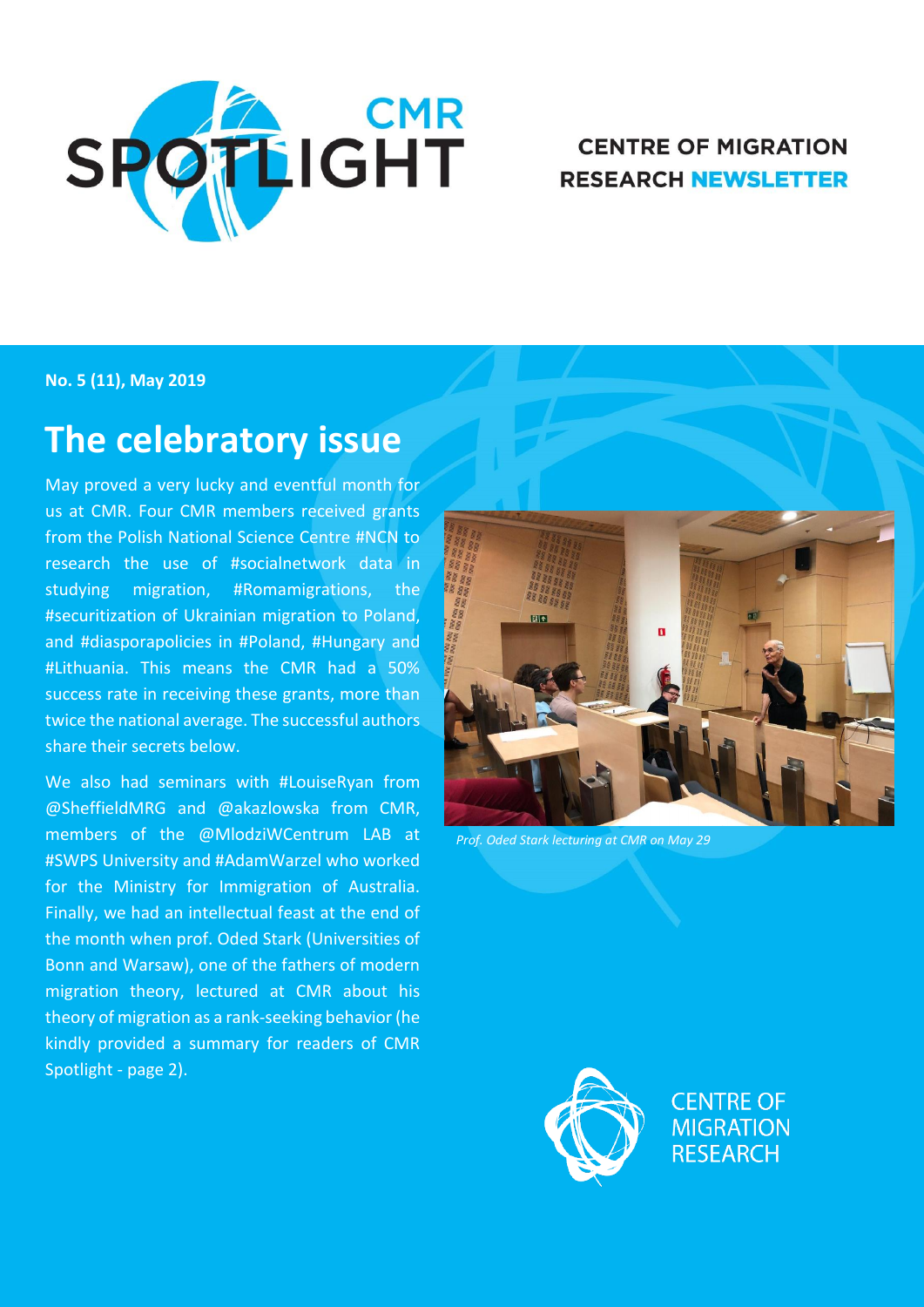

### **CENTRE OF MIGRATION RESEARCH NEWSLETTER**

**No. 5 (11), May 2019**

# **The celebratory issue**

May proved a very lucky and eventful month for us at CMR. Four CMR members received grants from the Polish National Science Centre #NCN to research the use of #socialnetwork data in studying migration, #Romamigrations, the #securitization of Ukrainian migration to Poland, and #diasporapolicies in #Poland, #Hungary and #Lithuania. This means the CMR had a 50% success rate in receiving these grants, more than twice the national average. The successful authors share their secrets below.

We also had seminars with #LouiseRyan from @SheffieldMRG and @akazlowska from CMR, members of the @MlodziWCentrum LAB at #SWPS University and #AdamWarzel who worked for the Ministry for Immigration of Australia. Finally, we had an intellectual feast at the end of the month when prof. Oded Stark (Universities of Bonn and Warsaw), one of the fathers of modern migration theory, lectured at CMR about his theory of migration as a rank-seeking behavior (he kindly provided a summary for readers of CMR Spotlight - page 2).



*Prof. Oded Stark lecturing at CMR on May 29*

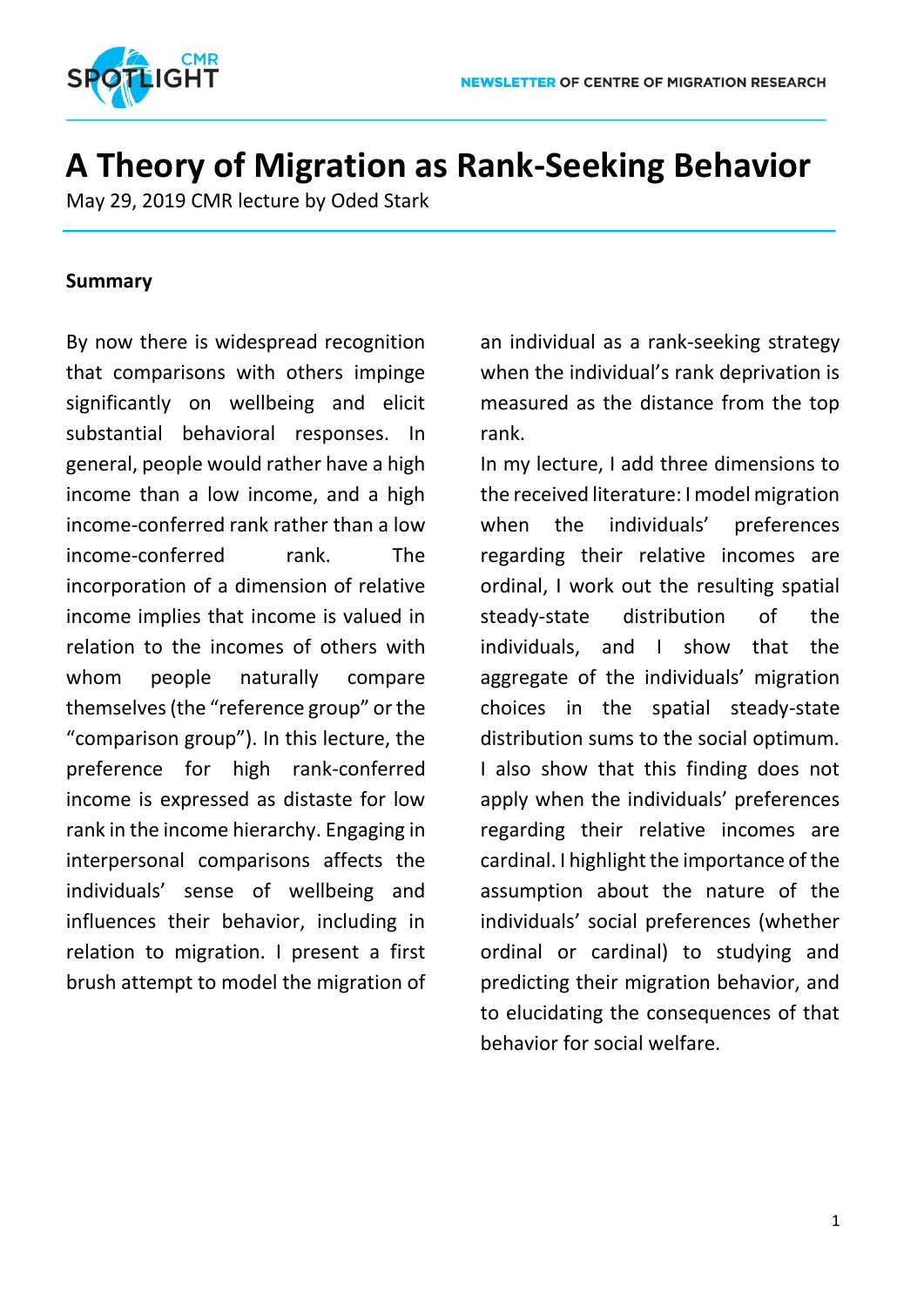

# **A Theory of Migration as Rank-Seeking Behavior**

May 29, 2019 CMR lecture by Oded Stark

### **Summary**

By now there is widespread recognition that comparisons with others impinge significantly on wellbeing and elicit substantial behavioral responses. In general, people would rather have a high income than a low income, and a high income-conferred rank rather than a low income-conferred rank. The incorporation of a dimension of relative income implies that income is valued in relation to the incomes of others with whom people naturally compare themselves (the "reference group" or the "comparison group"). In this lecture, the preference for high rank-conferred income is expressed as distaste for low rank in the income hierarchy. Engaging in interpersonal comparisons affects the individuals' sense of wellbeing and influences their behavior, including in relation to migration. I present a first brush attempt to model the migration of an individual as a rank-seeking strategy when the individual's rank deprivation is measured as the distance from the top rank.

In my lecture, I add three dimensions to the received literature: I model migration when the individuals' preferences regarding their relative incomes are ordinal, I work out the resulting spatial steady-state distribution of the individuals, and I show that the aggregate of the individuals' migration choices in the spatial steady-state distribution sums to the social optimum. I also show that this finding does not apply when the individuals' preferences regarding their relative incomes are cardinal. I highlight the importance of the assumption about the nature of the individuals' social preferences (whether ordinal or cardinal) to studying and predicting their migration behavior, and to elucidating the consequences of that behavior for social welfare.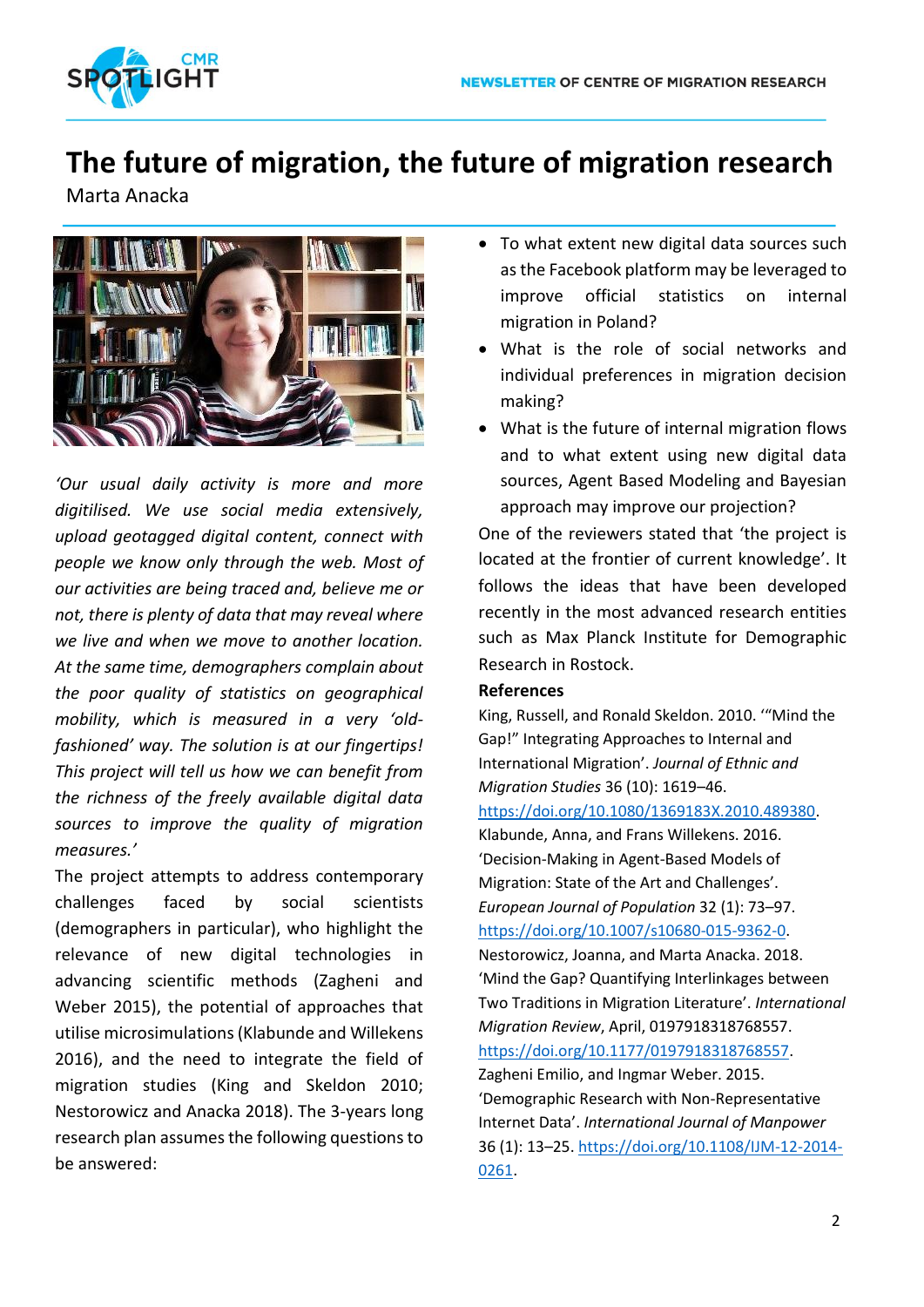

### **The future of migration, the future of migration research**

Marta Anacka



*'Our usual daily activity is more and more digitilised. We use social media extensively, upload geotagged digital content, connect with people we know only through the web. Most of our activities are being traced and, believe me or not, there is plenty of data that may reveal where we live and when we move to another location. At the same time, demographers complain about the poor quality of statistics on geographical mobility, which is measured in a very 'oldfashioned' way. The solution is at our fingertips! This project will tell us how we can benefit from the richness of the freely available digital data sources to improve the quality of migration measures.'*

The project attempts to address contemporary challenges faced by social scientists (demographers in particular), who highlight the relevance of new digital technologies in advancing scientific methods (Zagheni and Weber 2015), the potential of approaches that utilise microsimulations (Klabunde and Willekens 2016), and the need to integrate the field of migration studies (King and Skeldon 2010; Nestorowicz and Anacka 2018). The 3-years long research plan assumes the following questions to be answered:

- To what extent new digital data sources such as the Facebook platform may be leveraged to improve official statistics on internal migration in Poland?
- What is the role of social networks and individual preferences in migration decision making?
- What is the future of internal migration flows and to what extent using new digital data sources, Agent Based Modeling and Bayesian approach may improve our projection?

One of the reviewers stated that 'the project is located at the frontier of current knowledge'. It follows the ideas that have been developed recently in the most advanced research entities such as Max Planck Institute for Demographic Research in Rostock.

### **References**

King, Russell, and Ronald Skeldon. 2010. '"Mind the Gap!" Integrating Approaches to Internal and International Migration'. *Journal of Ethnic and Migration Studies* 36 (10): 1619–46. [https://doi.org/10.1080/1369183X.2010.489380.](https://doi.org/10.1080/1369183X.2010.489380)

Klabunde, Anna, and Frans Willekens. 2016. 'Decision-Making in Agent-Based Models of Migration: State of the Art and Challenges'. *European Journal of Population* 32 (1): 73–97. [https://doi.org/10.1007/s10680-015-9362-0.](https://doi.org/10.1007/s10680-015-9362-0) Nestorowicz, Joanna, and Marta Anacka. 2018. 'Mind the Gap? Quantifying Interlinkages between Two Traditions in Migration Literature'. *International Migration Review*, April, 0197918318768557. [https://doi.org/10.1177/0197918318768557.](https://doi.org/10.1177/0197918318768557) Zagheni Emilio, and Ingmar Weber. 2015. 'Demographic Research with Non-Representative Internet Data'. *International Journal of Manpower* 36 (1): 13–25[. https://doi.org/10.1108/IJM-12-2014-](https://doi.org/10.1108/IJM-12-2014-0261) [0261.](https://doi.org/10.1108/IJM-12-2014-0261)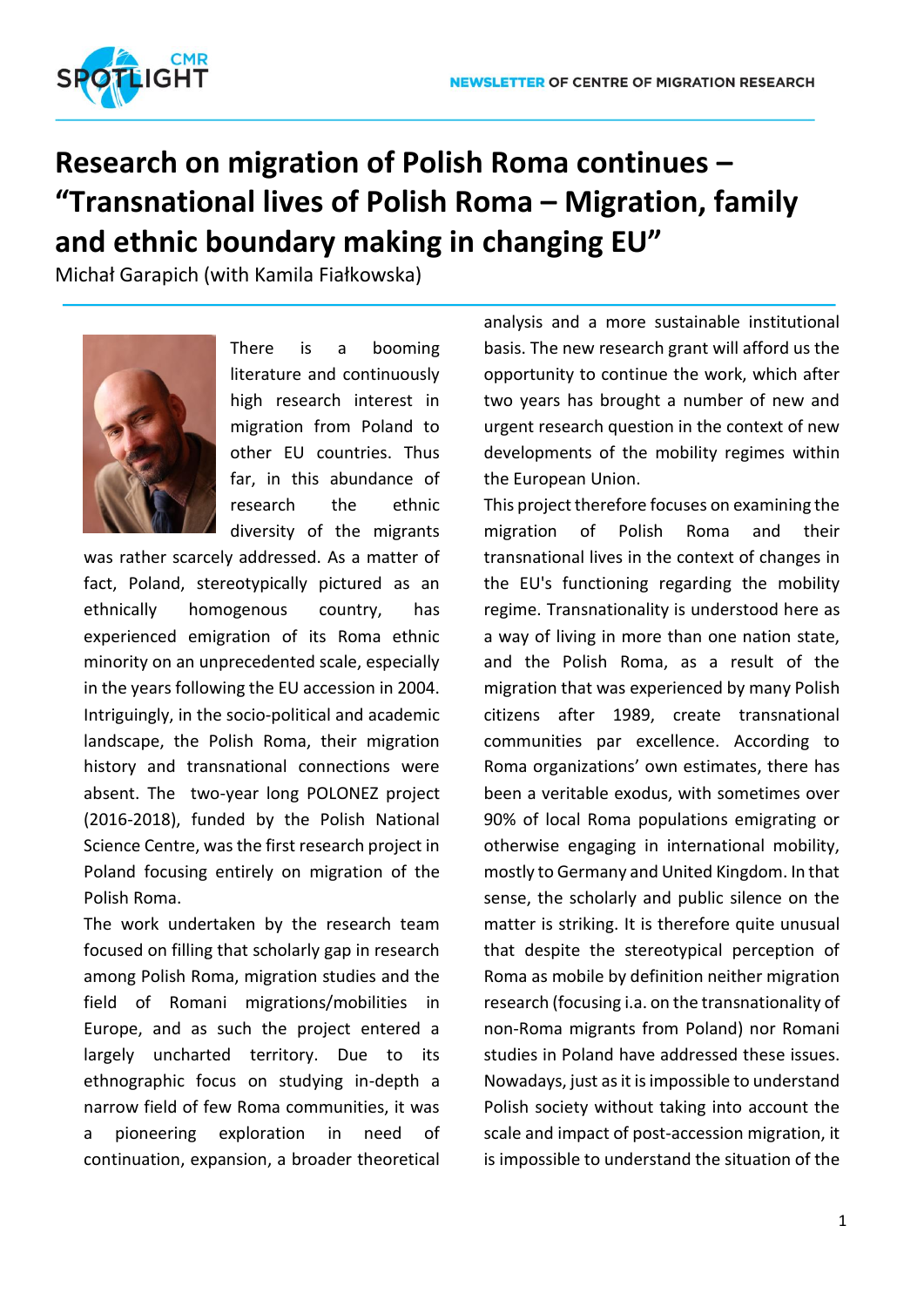

# **Research on migration of Polish Roma continues – "Transnational lives of Polish Roma – Migration, family and ethnic boundary making in changing EU"**

Michał Garapich (with Kamila Fiałkowska)



There is a booming literature and continuously high research interest in migration from Poland to other EU countries. Thus far, in this abundance of research the ethnic diversity of the migrants

was rather scarcely addressed. As a matter of fact, Poland, stereotypically pictured as an ethnically homogenous country, has experienced emigration of its Roma ethnic minority on an unprecedented scale, especially in the years following the EU accession in 2004. Intriguingly, in the socio-political and academic landscape, the Polish Roma, their migration history and transnational connections were absent. The two-year long POLONEZ project (2016-2018), funded by the Polish National Science Centre, was the first research project in Poland focusing entirely on migration of the Polish Roma.

The work undertaken by the research team focused on filling that scholarly gap in research among Polish Roma, migration studies and the field of Romani migrations/mobilities in Europe, and as such the project entered a largely uncharted territory. Due to its ethnographic focus on studying in-depth a narrow field of few Roma communities, it was a pioneering exploration in need of continuation, expansion, a broader theoretical analysis and a more sustainable institutional basis. The new research grant will afford us the opportunity to continue the work, which after two years has brought a number of new and urgent research question in the context of new developments of the mobility regimes within the European Union.

This project therefore focuses on examining the migration of Polish Roma and their transnational lives in the context of changes in the EU's functioning regarding the mobility regime. Transnationality is understood here as a way of living in more than one nation state, and the Polish Roma, as a result of the migration that was experienced by many Polish citizens after 1989, create transnational communities par excellence. According to Roma organizations' own estimates, there has been a veritable exodus, with sometimes over 90% of local Roma populations emigrating or otherwise engaging in international mobility, mostly to Germany and United Kingdom. In that sense, the scholarly and public silence on the matter is striking. It is therefore quite unusual that despite the stereotypical perception of Roma as mobile by definition neither migration research (focusing i.a. on the transnationality of non-Roma migrants from Poland) nor Romani studies in Poland have addressed these issues. Nowadays, just as it is impossible to understand Polish society without taking into account the scale and impact of post-accession migration, it is impossible to understand the situation of the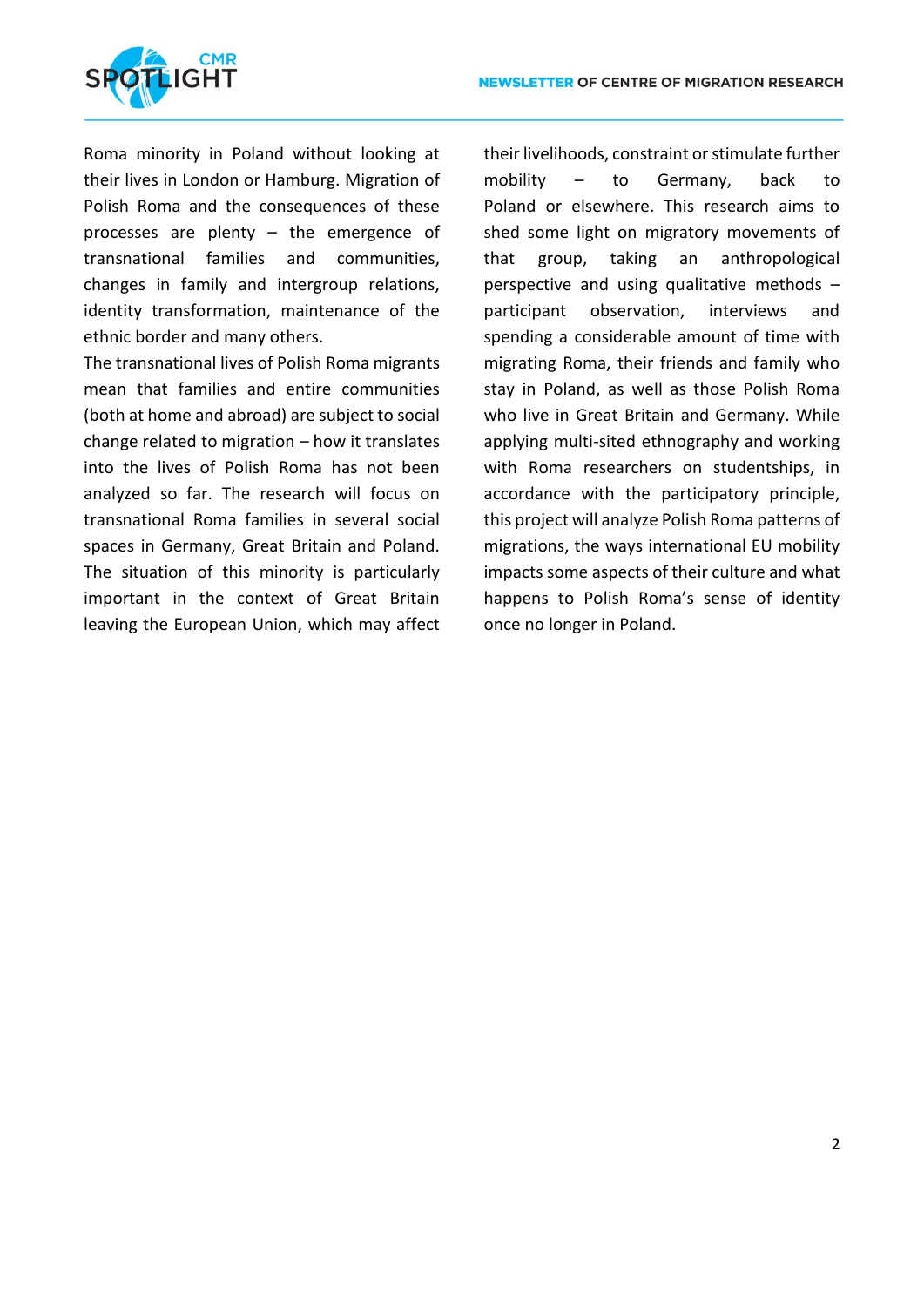

Roma minority in Poland without looking at their lives in London or Hamburg. Migration of Polish Roma and the consequences of these processes are plenty – the emergence of transnational families and communities, changes in family and intergroup relations, identity transformation, maintenance of the ethnic border and many others.

The transnational lives of Polish Roma migrants mean that families and entire communities (both at home and abroad) are subject to social change related to migration – how it translates into the lives of Polish Roma has not been analyzed so far. The research will focus on transnational Roma families in several social spaces in Germany, Great Britain and Poland. The situation of this minority is particularly important in the context of Great Britain leaving the European Union, which may affect their livelihoods, constraint or stimulate further mobility – to Germany, back to Poland or elsewhere. This research aims to shed some light on migratory movements of that group, taking an anthropological perspective and using qualitative methods – participant observation, interviews and spending a considerable amount of time with migrating Roma, their friends and family who stay in Poland, as well as those Polish Roma who live in Great Britain and Germany. While applying multi-sited ethnography and working with Roma researchers on studentships, in accordance with the participatory principle, this project will analyze Polish Roma patterns of migrations, the ways international EU mobility impacts some aspects of their culture and what happens to Polish Roma's sense of identity once no longer in Poland.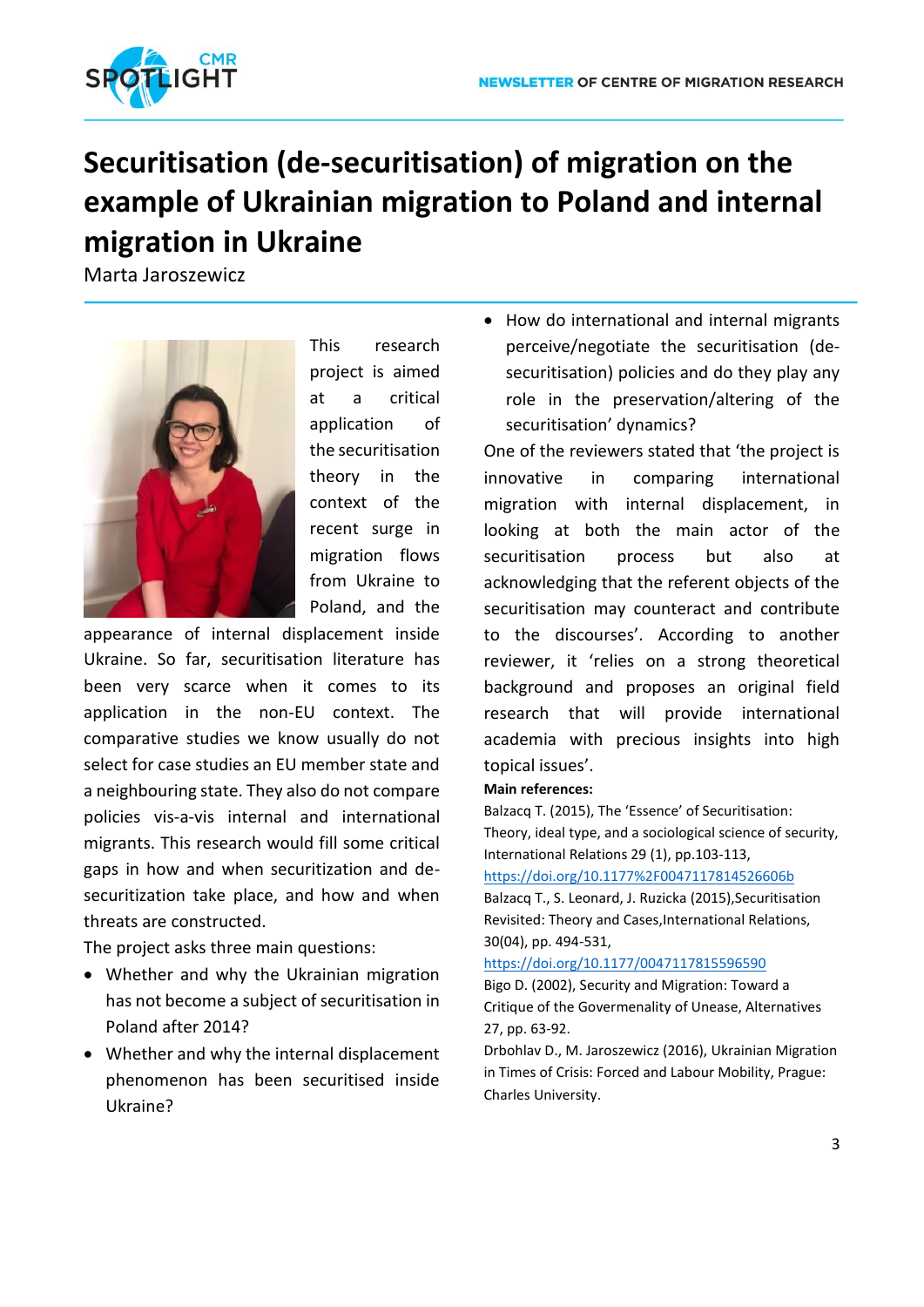

# **Securitisation (de-securitisation) of migration on the example of Ukrainian migration to Poland and internal migration in Ukraine**

Marta Jaroszewicz



This research project is aimed at a critical application of the securitisation theory in the context of the recent surge in migration flows from Ukraine to Poland, and the

appearance of internal displacement inside Ukraine. So far, securitisation literature has been very scarce when it comes to its application in the non-EU context. The comparative studies we know usually do not select for case studies an EU member state and a neighbouring state. They also do not compare policies vis-a-vis internal and international migrants. This research would fill some critical gaps in how and when securitization and desecuritization take place, and how and when threats are constructed.

The project asks three main questions:

- Whether and why the Ukrainian migration has not become a subject of securitisation in Poland after 2014?
- Whether and why the internal displacement phenomenon has been securitised inside Ukraine?

 How do international and internal migrants perceive/negotiate the securitisation (desecuritisation) policies and do they play any role in the preservation/altering of the securitisation' dynamics?

One of the reviewers stated that 'the project is innovative in comparing international migration with internal displacement, in looking at both the main actor of the securitisation process but also at acknowledging that the referent objects of the securitisation may counteract and contribute to the discourses'. According to another reviewer, it 'relies on a strong theoretical background and proposes an original field research that will provide international academia with precious insights into high topical issues'.

### **Main references:**

Balzacq T. (2015), The 'Essence' of Securitisation: Theory, ideal type, and a sociological science of security, International Relations 29 (1), pp.103-113,

#### <https://doi.org/10.1177%2F0047117814526606b>

Balzacq T., S. Leonard, J. Ruzicka (2015), Securitisation Revisited: Theory and Cases,International Relations, 30(04), pp. 494-531,

#### <https://doi.org/10.1177/0047117815596590>

Bigo D. (2002), Security and Migration: Toward a Critique of the Govermenality of Unease, Alternatives 27, pp. 63-92.

Drbohlav D., M. Jaroszewicz (2016), Ukrainian Migration in Times of Crisis: Forced and Labour Mobility, Prague: Charles University.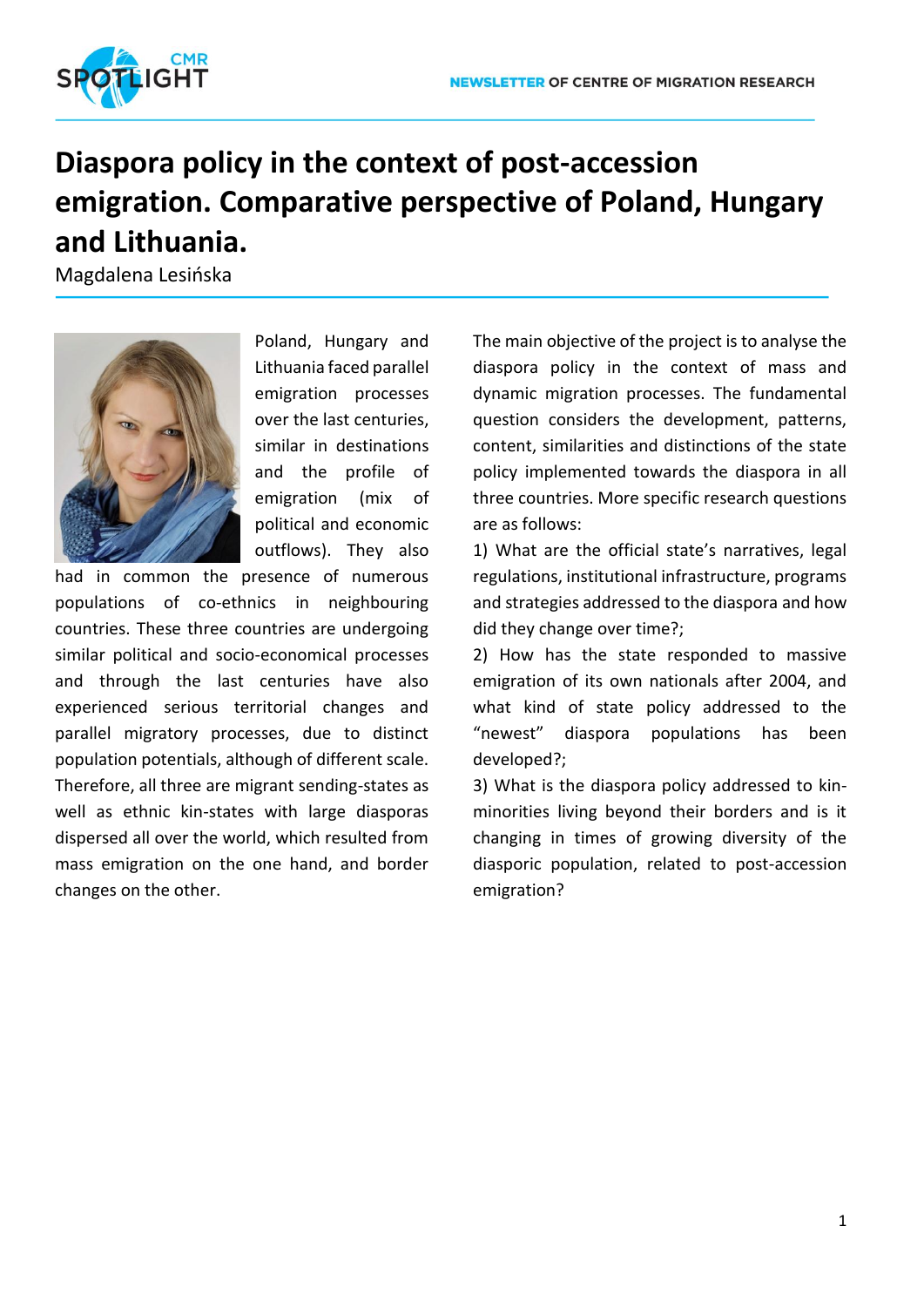

# **Diaspora policy in the context of post-accession emigration. Comparative perspective of Poland, Hungary and Lithuania.**

Magdalena Lesińska



Poland, Hungary and Lithuania faced parallel emigration processes over the last centuries, similar in destinations and the profile of emigration (mix of political and economic outflows). They also

had in common the presence of numerous populations of co-ethnics in neighbouring countries. These three countries are undergoing similar political and socio-economical processes and through the last centuries have also experienced serious territorial changes and parallel migratory processes, due to distinct population potentials, although of different scale. Therefore, all three are migrant sending-states as well as ethnic kin-states with large diasporas dispersed all over the world, which resulted from mass emigration on the one hand, and border changes on the other.

The main objective of the project is to analyse the diaspora policy in the context of mass and dynamic migration processes. The fundamental question considers the development, patterns, content, similarities and distinctions of the state policy implemented towards the diaspora in all three countries. More specific research questions are as follows:

1) What are the official state's narratives, legal regulations, institutional infrastructure, programs and strategies addressed to the diaspora and how did they change over time?;

2) How has the state responded to massive emigration of its own nationals after 2004, and what kind of state policy addressed to the "newest" diaspora populations has been developed?;

3) What is the diaspora policy addressed to kinminorities living beyond their borders and is it changing in times of growing diversity of the diasporic population, related to post-accession emigration?